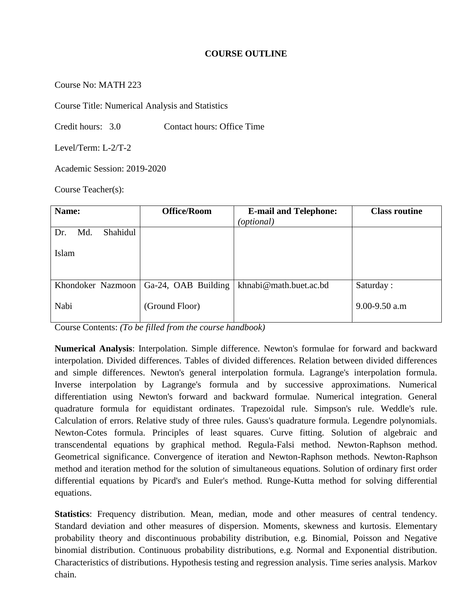#### **COURSE OUTLINE**

Course No: MATH 223

Course Title: Numerical Analysis and Statistics

Credit hours: 3.0 Contact hours: Office Time

Level/Term: L-2/T-2

Academic Session: 2019-2020

Course Teacher(s):

| Name:                  | <b>Office/Room</b>  | <b>E-mail and Telephone:</b> | <b>Class routine</b> |
|------------------------|---------------------|------------------------------|----------------------|
|                        |                     | (optional)                   |                      |
| Shahidul<br>Md.<br>Dr. |                     |                              |                      |
|                        |                     |                              |                      |
| Islam                  |                     |                              |                      |
|                        |                     |                              |                      |
|                        |                     |                              |                      |
| Khondoker Nazmoon      | Ga-24, OAB Building | khnabi@math.buet.ac.bd       | Saturday:            |
|                        |                     |                              |                      |
| Nabi                   | (Ground Floor)      |                              | $9.00 - 9.50$ a.m    |
|                        |                     |                              |                      |

Course Contents: *(To be filled from the course handbook)*

**Numerical Analysis**: Interpolation. Simple difference. Newton's formulae for forward and backward interpolation. Divided differences. Tables of divided differences. Relation between divided differences and simple differences. Newton's general interpolation formula. Lagrange's interpolation formula. Inverse interpolation by Lagrange's formula and by successive approximations. Numerical differentiation using Newton's forward and backward formulae. Numerical integration. General quadrature formula for equidistant ordinates. Trapezoidal rule. Simpson's rule. Weddle's rule. Calculation of errors. Relative study of three rules. Gauss's quadrature formula. Legendre polynomials. Newton-Cotes formula. Principles of least squares. Curve fitting. Solution of algebraic and transcendental equations by graphical method. Regula-Falsi method. Newton-Raphson method. Geometrical significance. Convergence of iteration and Newton-Raphson methods. Newton-Raphson method and iteration method for the solution of simultaneous equations. Solution of ordinary first order differential equations by Picard's and Euler's method. Runge-Kutta method for solving differential equations.

**Statistics**: Frequency distribution. Mean, median, mode and other measures of central tendency. Standard deviation and other measures of dispersion. Moments, skewness and kurtosis. Elementary probability theory and discontinuous probability distribution, e.g. Binomial, Poisson and Negative binomial distribution. Continuous probability distributions, e.g. Normal and Exponential distribution. Characteristics of distributions. Hypothesis testing and regression analysis. Time series analysis. Markov chain.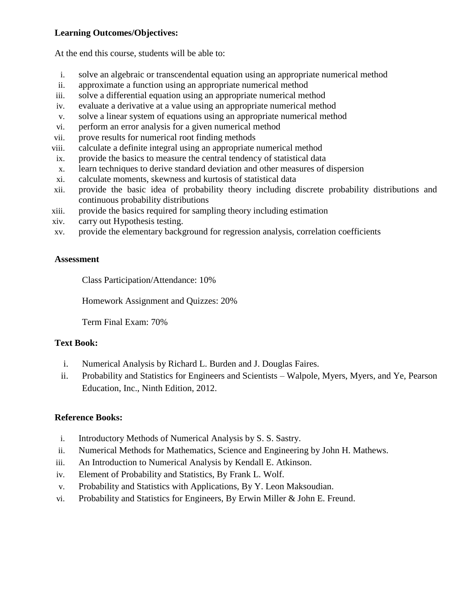#### **Learning Outcomes/Objectives:**

At the end this course, students will be able to:

- i. solve an algebraic or transcendental equation using an appropriate numerical method
- ii. approximate a function using an appropriate numerical method
- iii. solve a differential equation using an appropriate numerical method
- iv. evaluate a derivative at a value using an appropriate numerical method
- v. solve a linear system of equations using an appropriate numerical method
- vi. perform an error analysis for a given numerical method
- vii. prove results for numerical root finding methods
- viii. calculate a definite integral using an appropriate numerical method
- ix. provide the basics to measure the central tendency of statistical data
- x. learn techniques to derive standard deviation and other measures of dispersion
- xi. calculate moments, skewness and kurtosis of statistical data
- xii. provide the basic idea of probability theory including discrete probability distributions and continuous probability distributions
- xiii. provide the basics required for sampling theory including estimation
- xiv. carry out Hypothesis testing.
- xv. provide the elementary background for regression analysis, correlation coefficients

### **Assessment**

Class Participation/Attendance: 10%

Homework Assignment and Quizzes: 20%

Term Final Exam: 70%

## **Text Book:**

- i. Numerical Analysis by Richard L. Burden and J. Douglas Faires.
- ii. Probability and Statistics for Engineers and Scientists Walpole, Myers, Myers, and Ye, Pearson Education, Inc., Ninth Edition, 2012.

## **Reference Books:**

- i. Introductory Methods of Numerical Analysis by S. S. Sastry.
- ii. Numerical Methods for Mathematics, Science and Engineering by John H. Mathews.
- iii. An Introduction to Numerical Analysis by Kendall E. Atkinson.
- iv. Element of Probability and Statistics, By Frank L. Wolf.
- v. Probability and Statistics with Applications, By Y. Leon Maksoudian.
- vi. Probability and Statistics for Engineers, By Erwin Miller & John E. Freund.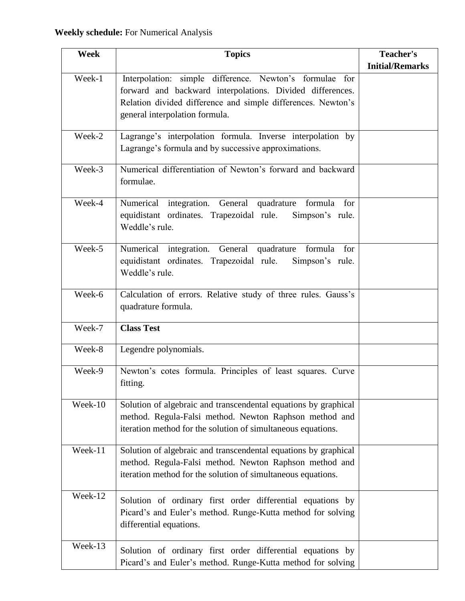| Week    | <b>Topics</b>                                                                                                          | Teacher's              |
|---------|------------------------------------------------------------------------------------------------------------------------|------------------------|
|         |                                                                                                                        | <b>Initial/Remarks</b> |
| Week-1  | Interpolation: simple difference. Newton's formulae for                                                                |                        |
|         | forward and backward interpolations. Divided differences.                                                              |                        |
|         | Relation divided difference and simple differences. Newton's                                                           |                        |
|         | general interpolation formula.                                                                                         |                        |
|         |                                                                                                                        |                        |
| Week-2  | Lagrange's interpolation formula. Inverse interpolation by<br>Lagrange's formula and by successive approximations.     |                        |
|         |                                                                                                                        |                        |
| Week-3  | Numerical differentiation of Newton's forward and backward                                                             |                        |
|         | formulae.                                                                                                              |                        |
|         |                                                                                                                        |                        |
| Week-4  | Numerical integration. General quadrature<br>formula for                                                               |                        |
|         | equidistant ordinates. Trapezoidal rule.<br>Simpson's rule.                                                            |                        |
|         | Weddle's rule.                                                                                                         |                        |
| Week-5  | Numerical integration. General quadrature<br>formula for                                                               |                        |
|         | equidistant ordinates. Trapezoidal rule.<br>Simpson's rule.                                                            |                        |
|         | Weddle's rule.                                                                                                         |                        |
|         |                                                                                                                        |                        |
| Week-6  | Calculation of errors. Relative study of three rules. Gauss's                                                          |                        |
|         | quadrature formula.                                                                                                    |                        |
| Week-7  | <b>Class Test</b>                                                                                                      |                        |
|         |                                                                                                                        |                        |
| Week-8  | Legendre polynomials.                                                                                                  |                        |
| Week-9  |                                                                                                                        |                        |
|         | Newton's cotes formula. Principles of least squares. Curve<br>fitting.                                                 |                        |
|         |                                                                                                                        |                        |
| Week-10 | Solution of algebraic and transcendental equations by graphical                                                        |                        |
|         | method. Regula-Falsi method. Newton Raphson method and                                                                 |                        |
|         | iteration method for the solution of simultaneous equations.                                                           |                        |
|         |                                                                                                                        |                        |
| Week-11 | Solution of algebraic and transcendental equations by graphical                                                        |                        |
|         | method. Regula-Falsi method. Newton Raphson method and<br>iteration method for the solution of simultaneous equations. |                        |
|         |                                                                                                                        |                        |
| Week-12 | Solution of ordinary first order differential equations by                                                             |                        |
|         | Picard's and Euler's method. Runge-Kutta method for solving                                                            |                        |
|         | differential equations.                                                                                                |                        |
|         |                                                                                                                        |                        |
| Week-13 | Solution of ordinary first order differential equations by                                                             |                        |
|         | Picard's and Euler's method. Runge-Kutta method for solving                                                            |                        |